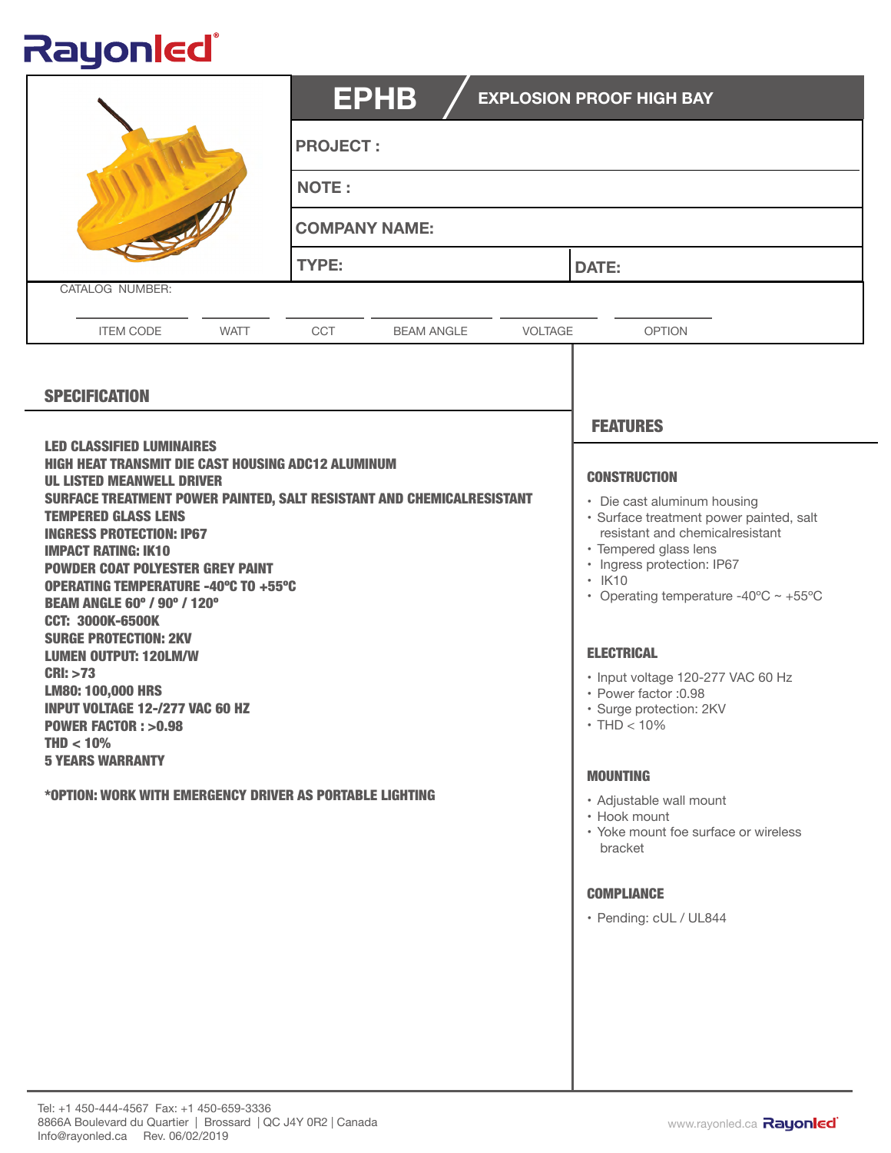## Rayonled®

|                                                                                                                                                                                                                                                                                                                                                                                                                                                                                                                                                                                                                                                                                                                                                                | <b>EPHB</b><br><b>EXPLOSION PROOF HIGH BAY</b>    |                                                                                                                                                                                                                                                                                                                                                                                                                                                                                                                                    |  |
|----------------------------------------------------------------------------------------------------------------------------------------------------------------------------------------------------------------------------------------------------------------------------------------------------------------------------------------------------------------------------------------------------------------------------------------------------------------------------------------------------------------------------------------------------------------------------------------------------------------------------------------------------------------------------------------------------------------------------------------------------------------|---------------------------------------------------|------------------------------------------------------------------------------------------------------------------------------------------------------------------------------------------------------------------------------------------------------------------------------------------------------------------------------------------------------------------------------------------------------------------------------------------------------------------------------------------------------------------------------------|--|
|                                                                                                                                                                                                                                                                                                                                                                                                                                                                                                                                                                                                                                                                                                                                                                | <b>PROJECT:</b>                                   |                                                                                                                                                                                                                                                                                                                                                                                                                                                                                                                                    |  |
|                                                                                                                                                                                                                                                                                                                                                                                                                                                                                                                                                                                                                                                                                                                                                                | <b>NOTE:</b>                                      |                                                                                                                                                                                                                                                                                                                                                                                                                                                                                                                                    |  |
|                                                                                                                                                                                                                                                                                                                                                                                                                                                                                                                                                                                                                                                                                                                                                                | <b>COMPANY NAME:</b>                              |                                                                                                                                                                                                                                                                                                                                                                                                                                                                                                                                    |  |
| CATALOG NUMBER:                                                                                                                                                                                                                                                                                                                                                                                                                                                                                                                                                                                                                                                                                                                                                | TYPE:                                             | <b>DATE:</b>                                                                                                                                                                                                                                                                                                                                                                                                                                                                                                                       |  |
|                                                                                                                                                                                                                                                                                                                                                                                                                                                                                                                                                                                                                                                                                                                                                                |                                                   |                                                                                                                                                                                                                                                                                                                                                                                                                                                                                                                                    |  |
| <b>WATT</b><br><b>ITEM CODE</b>                                                                                                                                                                                                                                                                                                                                                                                                                                                                                                                                                                                                                                                                                                                                | <b>CCT</b><br><b>BEAM ANGLE</b><br><b>VOLTAGE</b> | <b>OPTION</b>                                                                                                                                                                                                                                                                                                                                                                                                                                                                                                                      |  |
| <b>SPECIFICATION</b>                                                                                                                                                                                                                                                                                                                                                                                                                                                                                                                                                                                                                                                                                                                                           |                                                   |                                                                                                                                                                                                                                                                                                                                                                                                                                                                                                                                    |  |
| <b>LED CLASSIFIED LUMINAIRES</b><br><b>HIGH HEAT TRANSMIT DIE CAST HOUSING ADC12 ALUMINUM</b><br><b>UL LISTED MEANWELL DRIVER</b><br>SURFACE TREATMENT POWER PAINTED, SALT RESISTANT AND CHEMICALRESISTANT<br><b>TEMPERED GLASS LENS</b><br><b>INGRESS PROTECTION: IP67</b><br><b>IMPACT RATING: IK10</b><br><b>POWDER COAT POLYESTER GREY PAINT</b><br><b>OPERATING TEMPERATURE -40°C TO +55°C</b><br><b>BEAM ANGLE 60° / 90° / 120°</b><br><b>CCT: 3000K-6500K</b><br><b>SURGE PROTECTION: 2KV</b><br><b>LUMEN OUTPUT: 120LM/W</b><br>CRI: >73<br><b>LM80: 100,000 HRS</b><br><b>INPUT VOLTAGE 12-/277 VAC 60 HZ</b><br><b>POWER FACTOR: &gt;0.98</b><br>$THD < 10\%$<br><b>5 YEARS WARRANTY</b><br>*OPTION: WORK WITH EMERGENCY DRIVER AS PORTABLE LIGHTING |                                                   | <b>FEATURES</b><br><b>CONSTRUCTION</b><br>• Die cast aluminum housing<br>· Surface treatment power painted, salt<br>resistant and chemicalresistant<br>· Tempered glass lens<br>· Ingress protection: IP67<br>$\cdot$ IK10<br>• Operating temperature -40 $\degree$ C ~ +55 $\degree$ C<br><b>ELECTRICAL</b><br>· Input voltage 120-277 VAC 60 Hz<br>· Power factor : 0.98<br>· Surge protection: 2KV<br>$\cdot$ THD $<$ 10%<br><b>MOUNTING</b><br>• Adjustable wall mount<br>• Hook mount<br>• Yoke mount foe surface or wireless |  |
|                                                                                                                                                                                                                                                                                                                                                                                                                                                                                                                                                                                                                                                                                                                                                                |                                                   | bracket<br><b>COMPLIANCE</b><br>· Pending: cUL / UL844                                                                                                                                                                                                                                                                                                                                                                                                                                                                             |  |